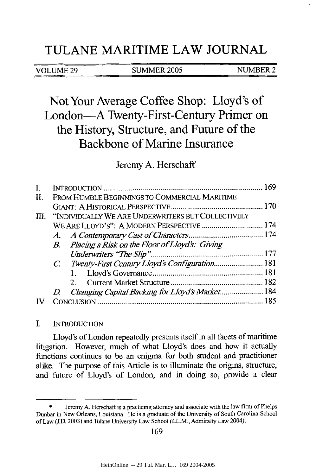## **TULANE** MARITIME LAW **JOURNAL**

#### VOLUME 29 SUMMER 2005 NUMBER 2

# Not Your Average Coffee Shop: Lloyd's of London-A Twenty-First-Century Primer on the History, Structure, and Future of the Backbone of Marine Insurance

### Jeremy **A.** Herschaft'

| П. | FROM HUMBLE BEGINNINGS TO COMMERCIAL MARITIME           |  |
|----|---------------------------------------------------------|--|
|    |                                                         |  |
|    | III. "INDIVIDUALLY WE ARE UNDERWRITERS BUT COLLECTIVELY |  |
|    |                                                         |  |
|    |                                                         |  |
|    | B. Placing a Risk on the Floor of Lloyd's: Giving       |  |
|    |                                                         |  |
|    |                                                         |  |
|    |                                                         |  |
|    | 2.                                                      |  |
|    | Changing Capital Backing for Lloyd's Market 184<br>D.   |  |
|    |                                                         |  |

#### I. INTRODUCTION

Lloyd's of London repeatedly presents itself in all facets of maritime litigation. However, much of what Lloyd's does and how it actually functions continues to be an enigma for both student and practitioner alike. The purpose of this Article is to illuminate the origins, structure, and future of Lloyd's of London, and in doing so, provide a clear

Jeremy A. Herschaft is a practicing attorney and associate with the law firm of Phelps Dunbar in New Orleans, Louisiana. He is a graduate of the University of South Carolina School of Law (J.D. 2003) and Tulane University Law School (LL.M., Admiralty Law 2004).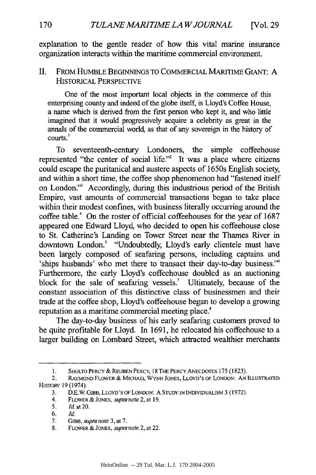explanation to the gentle reader of how this vital marine insurance organization interacts within the maritime commercial environment.

#### II. FROM HUMBLE BEGINNINGS TO COMMERCIAL MARITIME GIANT: A HISTORICAL PERSPECTIVE

One of the most important local objects in the commerce of this enterprising county and indeed of the globe itself, is Lloyd's Coffee House, a name which is derived from the first person who kept it, and who little imagined that it would progressively acquire a celebrity as great in the annals of the commercial world, as that of any sovereign in the history of courts.'

To seventeenth-century Londoners, the simple coffeehouse represented "the center of social life."<sup>2</sup> It was a place where citizens could escape the puritanical and austere aspects of 1650s English society, and within a short time, the coffee shop phenomenon had "fastened itself on London."<sup>3</sup> Accordingly, during this industrious period of the British Empire, vast amounts of commercial transactions began to take place within their modest confines, with business literally occurring around the coffee table.' On the roster of official coffeehouses for the year of 1687 appeared one Edward Lloyd, who decided to open his coffeehouse close to St. Catherine's Landing on Tower Street near the Thames River in downtown London.<sup>5</sup> "Undoubtedly, Lloyd's early clientele must have been largely composed of seafaring persons, including captains and 'ships husbands' who met there to transact their day-to-day business." Furthermore, the early Lloyd's coffeehouse doubled as an auctioning block for the sale of seafaring vessels.' Ultimately, because of the constant association of this distinctive class of businessmen and their trade at the coffee shop, Lloyd's coffeehouse began to develop a growing reputation as a maritime commercial meeting place.<sup>8</sup>

The day-to-day business of his early seafaring customers proved to be quite profitable for Lloyd. In 1691, he relocated his coffeehouse to a larger building on Lombard Street, which attracted wealthier merchants

**<sup>1.</sup> SHOLTO** PERCY & **REUBEN** PERCY, 18 THE PERCY ANECDOTES 175 (1823).

<sup>2.</sup> RAYMoND FLOWER & MICHAEL WYNN **JONES,** LLOYD'S OF **LONDON: AN ILLUSTRATED** HISToRY **19** (1974).

<sup>3.</sup> D.E.W. GIBB, LLOYD'S **OF** LONDON: **A STUDY IN INDIvIDUALISM** 3 **(1972).**

<sup>4.</sup> FLOWER **& JONES,** *supm* note 2, at **19.**

<sup>5.</sup> Id. at 20.

<sup>6.</sup> Id.

<sup>7.</sup> **GIBB,** supm note 3, at 7.

<sup>8.</sup> FLOWER & **JONES,** supra note 2, at 22.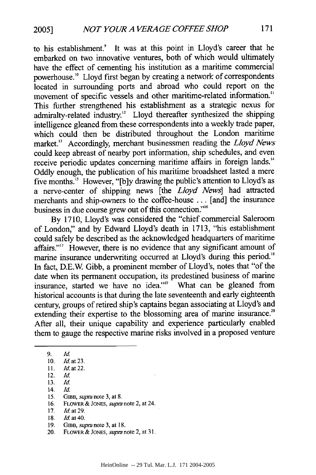to his establishment.<sup>9</sup> It was at this point in Lloyd's career that he embarked on two innovative ventures, both of which would ultimately have the effect of cementing his institution as a maritime commercial powerhouse.'" Lloyd first began by creating a network of correspondents located in surrounding ports and abroad who could report on the movement of specific vessels and other maritime-related information." This further strengthened his establishment as a strategic nexus for admiralty-related industry.<sup>12</sup> Lloyd thereafter synthesized the shipping intelligence gleaned from these correspondents into a weekly trade paper, which could then be distributed throughout the London maritime market." Accordingly, merchant businessmen reading the *Lloyd News* could keep abreast of nearby port information, ship schedules, and even receive periodic updates concerning maritime affairs in foreign lands." Oddly enough, the publication of his maritime broadsheet lasted a mere five months." However, "[b]y drawing the public's attention to Lloyd's as a nerve-center of shipping news [the *Lloyd News]* had attracted merchants and ship-owners to the coffee-house ... [and] the insurance business in due course grew out of this connection."<sup>6</sup>

By 1710, Lloyd's was considered the "chief commercial Saleroom of London," and by Edward Lloyd's death in 1713, "his establishment could safely be described as the acknowledged headquarters of maritime affairs."<sup>17</sup> However, there is no evidence that any significant amount of marine insurance underwriting occurred at Lloyd's during this period.<sup>18</sup> In fact, D.E.W Gibb, a prominent member of Lloyd's, notes that "of the date when its permanent occupation, its predestined business of marine insurance, started we have no idea."<sup>9</sup> What can be gleaned from historical accounts is that during the late seventeenth and early eighteenth century, groups of retired ship's captains began associating at Lloyd's and extending their expertise to the blossoming area of marine insurance.<sup>20</sup> After all, their unique capability and experience particularly enabled them to gauge the respective marine risks involved in a proposed venture

- 13. *Id.*
- 14. *Id.*
- 15. GIBB, *supra* note 3, at 8.
- **16.** FLOWER **& JONES,** *supra* note 2, at 24.
- **17. Id.** at 29.
- **18. Id.** at **40.**
- **19.** GraB, *supra* note 3, at **18.**
- 20. FLOWER **&** JONES, *supa* note 2, at **31.**

<sup>10.</sup> Id. at **23.**

**<sup>11.</sup>** *Id.* at 22.

<sup>12.</sup> *Id.*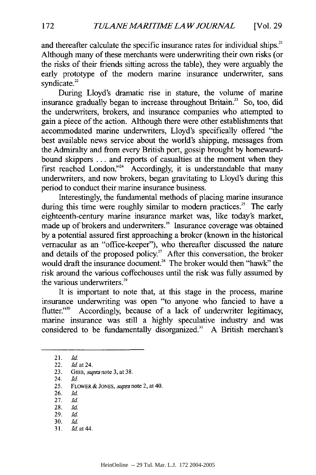and thereafter calculate the specific insurance rates for individual ships.<sup>21</sup> Although many of these merchants were underwriting their own risks (or the risks of their friends sitting across the table), they were arguably the early prototype of the modem marine insurance underwriter, sans syndicate.<sup>22</sup>

During Lloyd's dramatic rise in stature, the volume of marine insurance gradually began to increase throughout Britain.<sup>23</sup> So, too, did the underwriters, brokers, and insurance companies who attempted to gain a piece of the action. Although there were other establishments that accommodated marine underwriters, Lloyd's specifically offered "the best available news service about the world's shipping, messages from the Admiralty and from every British port, gossip brought by homewardbound skippers ... and reports of casualties at the moment when they first reached London."<sup>24</sup> Accordingly, it is understandable that many underwriters, and now brokers, began gravitating to Lloyd's during this period to conduct their marine insurance business.

Interestingly, the fundamental methods of placing marine insurance during this time were roughly similar to modern practices.<sup>25</sup> The early eighteenth-century marine insurance market was, like today's market, made up of brokers and underwriters.<sup>26</sup> Insurance coverage was obtained by a potential assured first approaching a broker (known in the historical vernacular as an "office-keeper"), who thereafter discussed the nature and details of the proposed policy.<sup>27</sup> After this conversation, the broker would draft the insurance document.<sup>28</sup> The broker would then "hawk" the risk around the various coffeehouses until the risk was fully assumed by the various underwriters.<sup>29</sup>

It is important to note that, at this stage in the process, marine insurance underwriting was open "to anyone who fancied to have a flutter."<sup>30</sup> Accordingly, because of a lack of underwriter legitimacy, marine insurance was still a highly speculative industry and was considered to be fundamentally disorganized." A British merchant's

- 26. **Id.**
- 27. *Id*
- 28. **Id.** 29. *Id*
- 30. **Id.**
- 31. *Jd at* 44.

<sup>21.</sup> *Id*

<sup>22.</sup> *Id* at 24.

<sup>23.</sup> *GIBB, supra* note 3, at 38.

<sup>24.</sup> *Id*

<sup>25.</sup> FLOWER *&* **JONES,** *supra* note 2, at 40.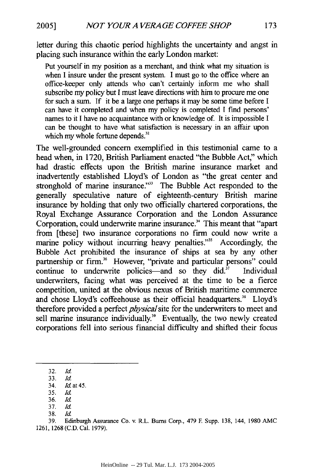**2005]**

letter during this chaotic period highlights the uncertainty and angst in placing such insurance within the early London market:

Put yourself in my position as a merchant, and think what my situation is when I insure under the present system. I must go to the office where an office-keeper only attends who can't certainly inform me who shall subscribe my policy but I must leave directions with him to procure me one for such a sum. If it be a large one perhaps it may be some time before I can have it completed and when my policy is completed I find persons' names to it I have no acquaintance with or knowledge of. It is impossible I can be thought to have what satisfaction is necessary in an affair upon which my whole fortune depends.<sup>32</sup>

The well-grounded concern exemplified in this testimonial came to a head when, in 1720, British Parliament enacted "the Bubble Act," which had drastic effects upon the British marine insurance market and inadvertently established Lloyd's of London as "the great center and stronghold of marine insurance."<sup>33</sup> The Bubble Act responded to the generally speculative nature of eighteenth-century British marine insurance by holding that only two officially chartered corporations, the Royal Exchange Assurance Corporation and the London Assurance Corporation, could underwrite marine insurance." This meant that "apart from [these] two insurance corporations no firm could now write a marine policy without incurring heavy penalties."<sup>35</sup> Accordingly, the Bubble Act prohibited the insurance of ships at sea by any other partnership or firm.<sup>36</sup> However, "private and particular persons" could continue to underwrite policies—and so they  $did.^{37}$  Individual underwriters, facing what was perceived at the time to be a fierce competition, united at the obvious nexus of British maritime commerce and chose Lloyd's coffeehouse as their official headquarters.<sup>38</sup> Lloyd's therefore provided a perfect *physical* site for the underwriters to meet and sell marine insurance individually.<sup>39</sup> Eventually, the two newly created corporations fell into serious financial difficulty and shifted their focus

<sup>32.</sup> *Id*

<sup>33.</sup> *Id*

<sup>34.</sup> *Id* at 45.

<sup>35.</sup> *Id* 36. *Id*

<sup>38.</sup> Id.

<sup>39.</sup> Edinburgh Assurance Co. v. R.L. Bums Corp., 479 **F** Supp. 138, 144, 1980 AMC 1261, 1268 (C.D. Cal. 1979).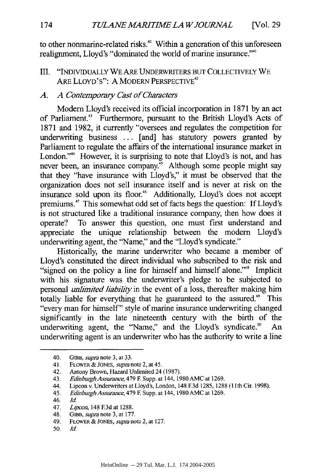to other nonmarine-related risks.<sup>40</sup> Within a generation of this unforeseen realignment, Lloyd's "dominated the world of marine insurance."'

III. "INDIVIDUALLY WE ARE UNDERWRITERS BUT COLLECTIVELY WE ARE LLOYD'S": A MODERN PERSPECTIVE<sup>42</sup>

#### *A. A Contemporary Cast of Characters*

Modem Lloyd's received its official incorporation in 1871 by an act of Parliament.<sup>43</sup> Furthermore, pursuant to the British Lloyd's Acts of 1871 and 1982, it currently "oversees and regulates the competition for underwriting business ... [and] has statutory powers granted by Parliament to regulate the affairs of the international insurance market in London."<sup>44</sup> However, it is surprising to note that Lloyd's is not, and has never been, an insurance company.<sup>45</sup> Although some people might say that they "have insurance with Lloyd's," it must be observed that the organization does not sell insurance itself and is never at risk on the insurance sold upon its floor.<sup>46</sup> Additionally, Lloyd's does not accept premiums.<sup>47</sup> This somewhat odd set of facts begs the question: If Lloyd's is not structured like a traditional insurance company, then how does it operate? To answer this question, one must first understand and appreciate the unique relationship between the modem Lloyd's underwriting agent, the "Name," and the "Lloyd's syndicate."

Historically, the marine underwriter who became a member of Lloyd's constituted the direct individual who subscribed to the risk and "signed on the policy a line for himself and himself alone."<sup>48</sup> Implicit with his signature was the underwriter's pledge to be subjected to personal *unlimited liability* in the event of a loss, thereafter making him totally liable for everything that he guaranteed to the assured." This "every man for himself" style of marine insurance underwriting changed significantly in the late nineteenth century with the birth of the underwriting agent, the "Name," and the Lloyd's syndicate.<sup>50</sup> An underwriting agent is an underwriter who has the authority to write a line

42. Antony Brown, Hazard Unlimited 24 (1987).

- 44. Lipcon v. Underwriters at Lloyd's, London, 148 E3d 1285, 1288 (1 1th Cir. 1998).
- 45. *Edinburgh Assurance,* 479 **F.** Supp. at 144, 1980 AMC at 1269.

<sup>40.</sup> *GIBB, supm* note 3, at 33.

<sup>41.</sup> FLOWER & *JONES, supra* note 2, at 45.

<sup>43.</sup> *EdinburghAssurance,* 479 **E** Supp. at 144, 1980AMC at 1269.

<sup>46.</sup> **Id.**

<sup>47.</sup> *Lipcon,* 148 **F.3d** at 1288.

<sup>48.</sup> *GtaB, supra* note **3,** at 177.

<sup>49.</sup> FLOWER & *JONES, supra* note 2, at 127.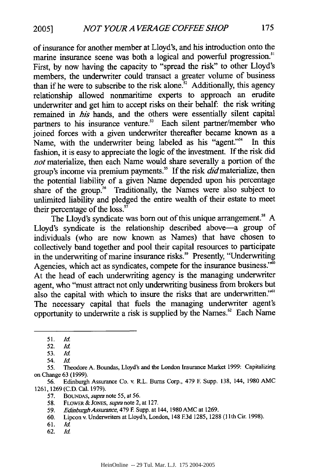of insurance for another member at Lloyd's, and his introduction onto the marine insurance scene was both a logical and powerful progression." First, by now having the capacity to "spread the risk" to other Lloyd's members, the underwriter could transact a greater volume of business than if he were to subscribe to the risk alone.<sup> $32$ </sup> Additionally, this agency relationship allowed nonmaritime experts to approach an erudite underwriter and get him to accept risks on their behalf: the risk writing remained in *his* hands, and the others were essentially silent capital partners to his insurance venture.<sup>53</sup> Each silent partner/member who joined forces with a given underwriter thereafter became known as a Name, with the underwriter being labeled as his "agent."<sup>54</sup> In this fashion, it is easy to appreciate the logic of the investment. If the risk did *not* materialize, then each Name would share severally a portion of the group's income via premium payments.<sup>55</sup> If the risk  $did$  materialize, then the potential liability of a given Name depended upon his percentage share of the group." Traditionally, the Names were also subject to unlimited liability and pledged the entire wealth of their estate to meet their percentage of the loss. $57$ 

The Lloyd's syndicate was born out of this unique arrangement.<sup>58</sup> A Lloyd's syndicate is the relationship described above-a group of individuals (who are now known as Names) that have chosen to collectively band together and pool their capital resources to participate in the underwriting of marine insurance risks.<sup>59</sup> Presently, "Underwriting Agencies, which act as syndicates, compete for the insurance business."<sup>60</sup> At the head of each underwriting agency is the managing underwriter agent, who "must attract not only underwriting business from brokers but also the capital with which to insure the risks that are underwritten."' The necessary capital that fuels the managing underwriter agent's opportunity to underwrite a risk is supplied by the Names.<sup>62</sup> Each Name

- 61. *Id*
- 62. Id.

<sup>51.</sup> *Id.*

<sup>52.</sup> *Id.*

**<sup>53.</sup>** *Id*

<sup>54.</sup> *Id.*

<sup>55.</sup> Theodore A. Boundas, Lloyd's and the London Insurance Market 1999: Capitalizing on Change 63 (1999).

<sup>56.</sup> Edinburgh Assurance Co. v. R.L. Burns Corp., 479 **E** Supp. 138, 144, 1980 AMC 1261, 1269 (C.D. Cal. 1979).

**<sup>57.</sup>** BOUNDAS, *supm* note **55,** at 56.

<sup>58.</sup> FLOWER & **JONES,** *supra* note 2, at 127.

<sup>59.</sup> *EdinburghAssurance,* 479 **E** Supp. at 144, 1980 AMC at 1269.

<sup>60.</sup> Lipcon v. Underwriters at Lloyd's, London, 148 **F.3d** 1285, 1288 (llthCir. 1998).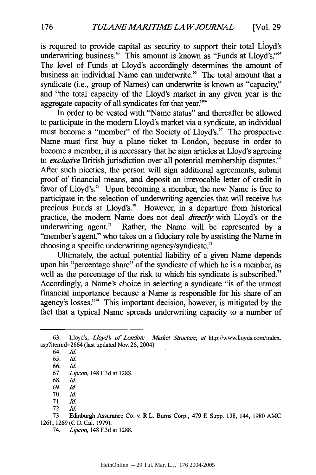is required to provide capital as security to support their total Lloyd's underwriting business.<sup>63</sup> This amount is known as "Funds at Lloyd's."<sup>64</sup> The level of Funds at Lloyd's accordingly determines the amount of business an individual Name can underwrite.<sup>65</sup> The total amount that a syndicate (i.e., group of Names) can underwrite is known as "capacity," and "the total capacity of the Lloyd's market in any given year is the aggregate capacity of all syndicates for that year.''

In order to be vested with "Name status" and thereafter be allowed to participate in the modem Lloyd's market via a syndicate, an individual must become a "member" of the Society of Lloyd's." The prospective Name must first buy a plane ticket to London, because in order to become a member, it is necessary that he sign articles at Lloyd's agreeing to *exclusive* British jurisdiction over all potential membership disputes."8 After such niceties, the person will sign additional agreements, submit proof of financial means, and deposit an irrevocable letter of credit in favor of Lloyd's.<sup>69</sup> Upon becoming a member, the new Name is free to participate in the selection of underwriting agencies that will receive his precious Funds at Lloyd's."° However, in a departure from historical practice, the modem Name does not deal *directly* with Lloyd's or the underwriting agent.<sup> $71$ </sup> Rather, the Name will be represented by a "member's agent," who takes on a fiduciary role by assisting the Name in choosing a specific underwriting agency/syndicate.<sup>22</sup>

Ultimately, the actual potential liability of a given Name depends upon his "percentage share" of the syndicate of which he is a member, as well as the percentage of the risk to which his syndicate is subscribed.<sup>73</sup> Accordingly, a Name's choice in selecting a syndicate "is of the utmost financial importance because a Name is responsible for his share of an agency's losses."<sup>4</sup> This important decision, however, is mitigated by the fact that a typical Name spreads underwriting capacity to a number of

- 70. *Id*
- 71. **Id.** 72. Id.

<sup>63.</sup> Lloyd's, *Lloyd's of London: Market Structure, at* http://www.lloyds.com/index. asp?itemid=2664 (last updated Nov. 26, 2004).

*<sup>64.</sup> Id*

<sup>65.</sup> *Id*

<sup>66.</sup> **Id.**

<sup>67.</sup> *Lipcon,* 148 **F3d** at 1288.

<sup>68.</sup> *Id*

<sup>69.</sup> *Id*

<sup>73.</sup> Edinburgh Assurance Co. v. R.L. Burns Corp., 479 **E** Supp. 138, 144, 1980 AMC 1261, 1269 (C.D. Cal. 1979).

<sup>74.</sup> Lipcon, 148 **E3d** at 1288.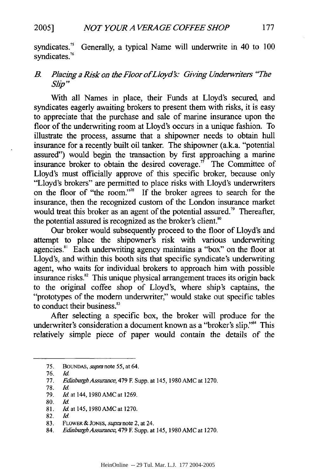**2005]**

syndicates.<sup>3</sup> Generally, a typical Name will underwrite in 40 to 100 syndicates.<sup>76</sup>

#### *B. Placing a Risk on the Floor of Lloyd's: Giving Underwriters "The* Slip"

With all Names in place, their Funds at Lloyd's secured, and syndicates eagerly awaiting brokers to present them with risks, it is easy to appreciate that the purchase and sale of marine insurance upon the floor of the underwriting room at Lloyd's occurs in a unique fashion. To illustrate the process, assume that a shipowner needs to obtain hull insurance for a recently built oil tanker. The shipowner (a.k.a. "potential assured") would begin the transaction by first approaching a marine insurance broker to obtain the desired coverage.<sup> $7\degree$ </sup> The Committee of Lloyd's must officially approve of this specific broker, because only "Lloyd's brokers" are permitted to place risks with Lloyd's underwriters on the floor of "the room.""8 If the broker agrees to search for the insurance, then the recognized custom of the London insurance market would treat this broker as an agent of the potential assured.<sup> $3\degree$ </sup> Thereafter, the potential assured is recognized as the broker's client.<sup>80</sup>

Our broker would subsequently proceed to the floor of Lloyd's and attempt to place the shipowner's risk with various underwriting agencies.<sup>81</sup> Each underwriting agency maintains a "box" on the floor at Lloyd's, and within this booth sits that specific syndicate's underwriting agent, who waits for individual brokers to approach him with possible insurance risks.<sup>82</sup> This unique physical arrangement traces its origin back to the original coffee shop of Lloyd's, where ship's captains, the "prototypes of the modem underwriter;' would stake out specific tables to conduct their business.<sup>83</sup>

After selecting a specific box, the broker will produce for the underwriter's consideration a document known as a "broker's slip."<sup>84</sup> This relatively simple piece of paper would contain the details of the

<sup>75.</sup> BoUNDAS, *supra* note 55, at 64,

<sup>76.</sup> *Id*

<sup>77.</sup> *Edinburgh Assurance, 479* **F** Supp. at 145, 1980 AMC at 1270.

<sup>78.</sup> **Id.**

<sup>79.</sup> *Id* at 144, 1980AMC at 1269.

<sup>80.</sup> *Id*

<sup>81.</sup> *Id.* at 145, 1980 AMC at 1270.

<sup>82.</sup> *Id*

<sup>83.</sup> FLOWER **& JONES,** *supra* note 2, at 24.

*<sup>84.</sup> EdinburghAssurance,* 479 **E** Supp. at 145, 1980 AMC at 1270.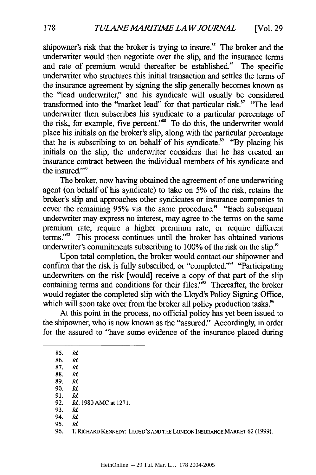shipowner's risk that the broker is trying to insure.<sup>85</sup> The broker and the underwriter would then negotiate over the slip, and the insurance terms and rate of premium would thereafter be established.<sup>86</sup> The specific underwriter who structures this initial transaction and settles the terms of the insurance agreement by signing the slip generally becomes known as the "lead underwriter," and his syndicate will usually be considered transformed into the "market lead" for that particular risk." "The lead underwriter then subscribes his syndicate to a particular percentage of the risk, for example, five percent."<sup>88</sup> To do this, the underwriter would place his initials on the broker's slip, along with the particular percentage that he is subscribing to on behalf of his syndicate.<sup>89</sup> "By placing his initials on the slip, the underwriter considers that he has created an insurance contract between the individual members of his syndicate and the insured."<sup>90</sup>

The broker, now having obtained the agreement of one underwriting agent (on behalf of his syndicate) to take on 5% of the risk, retains the broker's slip and approaches other syndicates or insurance companies to cover the remaining 95% via the same procedure.<sup>91</sup> "Each subsequent underwriter may express no interest, may agree to the terms on the same premium rate, require a higher premium rate, or require different terms."<sup>22</sup> This process continues until the broker has obtained various underwriter's commitments subscribing to  $100\%$  of the risk on the slip.<sup>93</sup>

Upon total completion, the broker would contact our shipowner and confirm that the risk is fully subscribed, or "completed."<sup>44</sup> "Participating underwriters on the risk [would] receive a copy of that part of the slip containing terms and conditions for their files."<sup>55</sup> Thereafter, the broker would register the completed slip with the Lloyd's Policy Signing Office, which will soon take over from the broker all policy production tasks.<sup>96</sup>

At this point in the process, no official policy has yet been issued to the shipowner, who is now known as the "assured." Accordingly, in order for the assured to "have some evidence of the insurance placed during

85. **Id.**

86. *Id.* 87. *Id*

88. *Id*

89. Id.

- 91. **Id.**
- 92. *Id,* 1980 AMC at 1271.
- 93. *Id*
- 94. **Id.** 95. Id.
- 96. *T.* RICHARD **KENNEDY:** LLOYD'S **ANDTHE LONDON INSURANCE** MARKET 62 (1999).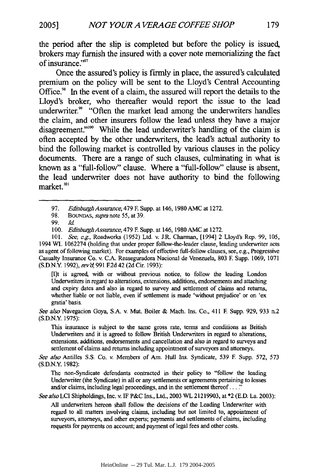the period after the slip is completed but before the policy is issued, brokers may **furnish** the insured with a cover note memorializing the fact of insurance."97

Once the assured's policy is firmly in place, the assured's calculated premium on the policy will be sent to the Lloyd's Central Accounting Office.<sup>98</sup> In the event of a claim, the assured will report the details to the Lloyd's broker, who thereafter would report the issue to the lead underwriter." "Often the market lead among the underwriters handles the claim, and other insurers follow the lead unless they have a major disagreement."<sup>100</sup> While the lead underwriter's handling of the claim is often accepted **by** the other underwriters, the lead's actual authority to bind the following market is controlled **by** various clauses in the policy documents. There are a range of such clauses, culminating in what is known as a "full-follow" clause. Where a "full-follow" clause is absent, the lead underwriter does not have authority to bind the following market. *101*

[I]t is agreed, with or without previous notice, to follow the leading London Underwriters in regard to alterations, extensions, additions, endorsements and attaching and expiry dates and also in regard to survey and settlement of claims and returns, whether liable or not liable, even if settlement is made 'without prejudice' or on 'ex gratia' basis.

*See also* Navegacion Goya, S.A. v. Mut. Boiler & Mach. Ins. Co., 411 **F** Supp. 929, 933 n.2 (S.D.N.Y. 1975):

This insurance is subject to the same gross rate, terms and conditions as British Underwriters and it is agreed to follow British Underwriters in regard to alterations, extensions, additions, endorsements and cancellation and also in regard to surveys and settlement of claims and returns including appointment of surveyors and attorneys.

*See also* Antilles S.S. Co. v. Members of Am. Hull Ins. Syndicate, 539 E Supp. 572, 573 (S.D.N.Y. 1982):

The non-Syndicate defendants contracted in their policy to "follow the leading Underwriter (the Syndicate) in all or any settlements or agreements pertaining to losses and/or claims, including legal proceedings, and in the settlement thereof... **"**

*See also* LCI Shipholdings, Inc. v. IF P&C Ins., Ltd., 2003 WL 21219903, at \*2 (E.D. La. 2003):

All underwriters hereon shall follow the decisions of the Leading Underwriter with regard to all matters involving claims, including but not limited to, appointment of surveyors, attorneys, and other experts; payments and settlements of claims, including requests for payments on account; and payment of legal fees and other costs.

<sup>97.</sup> *Edinburgh Assurance,* 479 F Supp. at 146,1980 AMC at 1272.

<sup>98.</sup> BouNDAs, *supia note* 55, at 39.

<sup>99.</sup> *Id*

<sup>100.</sup> *EdinburghAssuance,* 479 F. Supp. at 146, 1980 AMC at 1272.

<sup>101.</sup> *See, e.g.,* Roadworks (1952) Ltd. v. J.R. Charman, [1994] 2 Lloyd's Rep. 99, 105, 1994 WL 1062274 (holding that under proper follow-the-leader clause, leading underwriter acts as agent of following market). For examples of effective full-follow clauses, see, e.g., Progressive Casualty Insurance Co. v. C.A. Reaseguradora Nacional de Venezuela, 803 **E** Supp. 1069, 1071 (S.D.N.Y 1992), *revg* 991 E2d 42 (2d Cir. 1993):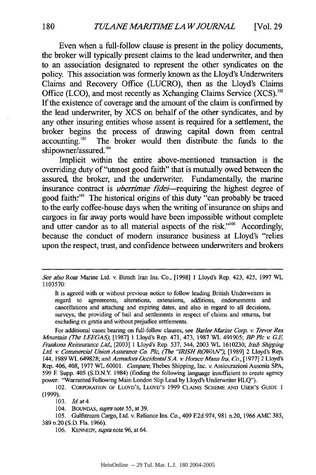Even when a full-follow clause is present in the policy documents, the broker will typically present claims to the lead underwriter, and then to an association designated to represent the other syndicates on the policy. This association was formerly known as the Lloyd's Underwriters Claims and Recovery Office **(LUCRO),** then as the Lloyd's Claims Office (LCO), and most recently as Xchanging Claims Service (XCS).<sup>102</sup> **If** the existence of coverage and the amount of the claim is confirmed **by** the lead underwriter, **by XCS** on behalf of the other syndicates, and **by** any other insuring entities whose assent is required for a settlement, the broker begins the process of drawing capital down from central accounting.<sup>103</sup> The broker would then distribute the funds to the The broker would then distribute the funds to the shipowner/assured.<sup>104</sup>

Implicit within the entire above-mentioned transaction is the overriding duty of "utmost good faith" that is mutually owed between the assured, the broker, and the underwriter. Fundamentally, the marine insurance contract is *uberrimae fidei*—requiring the highest degree of good faith.<sup>105</sup> The historical origins of this duty "can probably be traced to the early coffee-house days when the writing of insurance on ships and cargoes in far away ports would have been impossible without complete and utter candor as to all material aspects of the risk."<sup>106</sup> Accordingly, because the conduct of modem insurance business at Lloyd's "relies upon the respect, trust, and confidence between underwriters and brokers

It is agreed with or without previous notice to follow leading British Underwriters in regard to agreements, alterations, extensions, additions, endorsements and cancellations and attaching and expiring dates, and also in regard to all decisions, surveys, the providing of bail and settlements in respect of claims and returns, but excluding ex gratia and without prejudice settlements.

For additional cases bearing on full-follow clauses, see *Barlee Marie Corp. v Trevor Rex Mountain (The LEEGAS),* **11987]** 1 Lloyd's Rep. 471, 473, **1987** WL 491905; *BP Plc v G.E. Frankona Reinsurance Ltd,* **[2003] 1** Lloyd's Rep. **537,** 544, **2003** WL **1610230;** *Irish Shipping Ltd v Commercial Union Assurance Co. Plc, (The 'IiRSH ROWAN"),* **[1989]** 2 Lloyd's Rep. 144, **1989** WL **649828;** and *Armadora Occidental S.A. v Horace Mann Ins. Co.,* **[1977]** 2 Lloyd's Rep. 406, 408, 1977 WL 60001. *Compare,* Thebes Shipping, Inc. v. Assicurazioni Ausonia **SPA, 599** E Supp. 405 (S.D.N.Y. 1984) (finding the following language insufficient to create agency power: "Warranted Following Main London Slip Lead **by** Lloyd's Underwriter HLQ").

102. CORPORATION OF LLOYD'S, **LLOYD'S 1999 CLAIMS SCHEME AND** USER'S **GUIDE 1 (1999).**

**103.** *Id* at 4.

*See also* Roar Marine Ltd. v. Bimeh Iran Ins. Co., [1998] 1 Lloyd's Rep. 423, 425, 1997 WL 1103570:

<sup>104.</sup> BOuNDAS, *supa note* **55,** at **39.**

**<sup>105.</sup>** Gulfstream Cargo, Ltd. v. Reliance Ins. Co., 409 **F2d** 974, **981** n.20, **1966 AMC 385, 389** n.20 **(S.D.** Fla. **1966).**

**<sup>106.</sup>** KENNEDY, *supra* note **96,** at 64.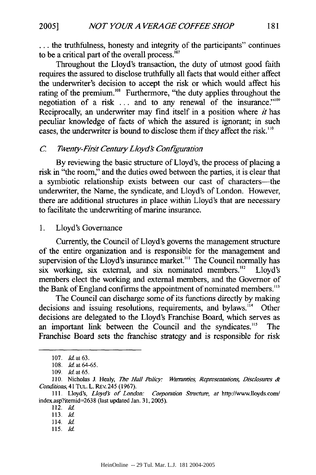... the truthfulness, honesty and integrity of the participants" continues to be a critical part of the overall process. $^{107}$ 

Throughout the Lloyd's transaction, the duty of utmost good faith requires the assured to disclose truthfully all facts that would either affect the underwriter's decision to accept the risk or which would affect his rating of the premium.<sup>108</sup> Furthermore, "the duty applies throughout the negotiation of a risk  $\ldots$  and to any renewal of the insurance."<sup>109</sup> Reciprocally, an underwriter may find itself in a position where *it* has peculiar knowledge of facts of which the assured is ignorant; in such cases, the underwriter is bound to disclose them if they affect the risk.<sup>110</sup>

#### *C Twenty-First CentiryLoyd Configuration*

By reviewing the basic structure of Lloyd's, the process of placing a risk in "the room," and the duties owed between the parties, it is clear that a symbiotic relationship exists between our cast of characters-the underwriter, the Name, the syndicate, and Lloyd's of London. However, there are additional structures in place within Lloyd's that are necessary to facilitate the underwriting of marine insurance.

**1.** Lloyd's Governance

Currently, the Council of Lloyd's governs the management structure of the entire organization and is responsible for the management and supervision of the Lloyd's insurance market.<sup>111</sup> The Council normally has six working, six external, and six nominated members.<sup>112</sup> Lloyd's members elect the working and external members, and the Governor of the Bank of England confirms the appointment of nominated members."'

The Council can discharge some of its functions directly by making decisions and issuing resolutions, requirements, and bylaws.<sup>114</sup> Other decisions are delegated to the Lloyd's Franchise Board, which serves as an important link between the Council and the syndicates."' The Franchise Board sets the franchise strategy and is responsible for risk

**115.** *Id*

**<sup>107.</sup>** *Id.* at **63.**

<sup>108.</sup> *Id* at 64-65.

<sup>109.</sup> *id* at **65.**

**<sup>110.</sup>** Nicholas J. Healy, *The Hull Policy:* Warranties, *Representations, Disclosures* & *Con'tions,* 41 TuL. L. REv. 245 (1967).

<sup>111.</sup> Lloyd's, *Lloyds of London: Corporation Sitcture, at* http://www.lloyds.com/ index.asp?itemid=2638 (last updated Jan. 31, 2005).

<sup>112.</sup> *Id*

<sup>113.</sup> *Id*

<sup>114.</sup> *Id*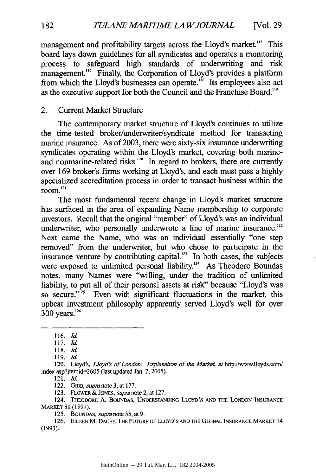management and profitability targets across the Lloyd's market.<sup>116</sup> This board lays down guidelines for all syndicates and operates a monitoring process to safeguard high standards of underwriting and risk management."<sup>7</sup> Finally, the Corporation of Lloyd's provides a platform from which the Lloyd's businesses can operate."8 Its employees also act as the executive support for both the Council and the Franchise Board."'

#### 2. Current Market Structure

The contemporary market structure of Lloyd's continues to utilize the time-tested broker/underwriter/syndicate method for transacting marine insurance. As of 2003, there were sixty-six insurance underwriting syndicates operating within the Lloyd's market, covering both marineand nonmarine-related risks.<sup>120</sup> In regard to brokers, there are currently over 169 broker's firms working at Lloyd's, and each must pass a highly specialized accreditation process in order to transact business within the room. **<sup>121</sup>**

The most fundamental recent change in Lloyd's market structure has surfaced in the area of expanding Name membership to corporate investors. Recall that the original "member" of Lloyd's was an individual underwriter, who personally underwrote a line of marine insurance.<sup>122</sup> Next came the Name, who was an individual essentially "one step removed" from the underwriter, but who chose to participate in the insurance venture by contributing capital.<sup>123</sup> In both cases, the subjects were exposed to unlimited personal liability.<sup>124</sup> As Theodore Boundas notes, many Names were "willing, under the tradition of unlimited liability, to put all of their personal assets at risk" because "Lloyd's was so secure."<sup>125</sup> Even with significant fluctuations in the market, this upbeat investment philosophy apparently served Lloyd's well for over  $300$  years.<sup>126</sup>

121. **Id.**

122. *GIaB, supm note* 3, at 177.

123. FLOWER **&** JONES, *supm* note 2, at 127.

124. THEODORE A. BOUNDAS, **UNDERSTANDING** LLOYD'S **AND** THE LONDON INSURANCE MARKET 81 (1997).

125. BOUNDAS, *supra* note 55, at 9.

126. **EILEEN** M. **DACEY,** THE FUTURE OF LLOYD'S **AND** THE GLOBAL **INSURANCE** MARKET 14 (1993).

182

<sup>116.</sup> Id.

<sup>117.</sup> *Id*

<sup>118.</sup> Id.

<sup>119.</sup> *Id*

<sup>120.</sup> Lloyd's, *Lloyd's of London: Explanation of the Market, at http://www.lloyds.com/* index.asp?itemid=2605 (last updated Jan. **7, 2005).**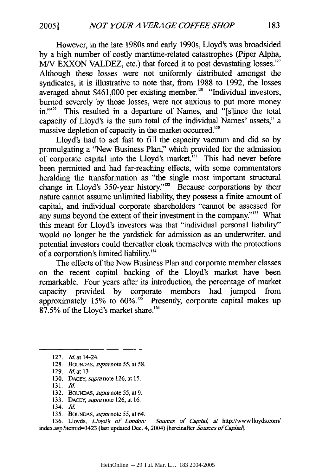However, in the late 1980s and early 1990s, Lloyd's was broadsided by a high number of costly maritime-related catastrophes (Piper Alpha, *M/V EXXON VALDEZ, etc.)* that forced it to post devastating losses.<sup>127</sup> Although these losses were not uniformly distributed amongst the syndicates, it is illustrative to note that, from 1988 to 1992, the losses averaged about \$461,000 per existing member."8 "Individual investors, burned severely by those losses, were not anxious to put more money in."<sup>129</sup> This resulted in a departure of Names, and "[s]ince the total capacity of Lloyd's is the sum total of the individual Names' assets," a massive depletion of capacity in the market occurred.<sup>330</sup>

Lloyd's had to act fast to fill the capacity vacuum and did so by promulgating a "New Business Plan;' which provided for the admission of corporate capital into the Lloyd's market.<sup>131</sup> This had never before been permitted and had far-reaching effects, with some commentators heralding the transformation as "the single most important structural change in Lloyd's 350-year history."<sup>132</sup> Because corporations by their nature cannot assume unlimited liability, they possess a finite amount of capital, and individual corporate shareholders "cannot be assessed for any sums beyond the extent of their investment in the company."'3 What this meant for Lloyd's investors was that "individual personal liability" would no longer be the yardstick for admission as an underwriter, and potential investors could thereafter cloak themselves with the protections of a corporation's limited liability."

The effects of the New Business Plan and corporate member classes on the recent capital backing of the Lloyd's market have been remarkable. Four years after its introduction, the percentage of market capacity provided by corporate members had jumped from approximately 15% to  $60\%$ <sup>135</sup> Presently, corporate capital makes up 87.5% of the Lloyd's market share.'16

131. Id.

- 133. **DACEY,** *supra note* 126, at 16.
- 134. Id.
- 135. BOuNDAS, *supm* note 55, at 64.

136. Lloyds, *Lloyd's of London: Sources of Capital, at* http://wwwlloyds.com/ index.asp?itemid=3423 (last updated Dec. 4, 2004) [hereinafter *Sources of Capital*].

<sup>127.</sup> *Id* at 14-24.

<sup>128.</sup> BOLNDAS, *supm note 55,* at 58.

<sup>129.</sup> *Id.* at 13.

<sup>130.</sup> DACEY, *supra* note 126, at 15.

<sup>132.</sup> **BOUNDAS,** *supra note* 55, at 9.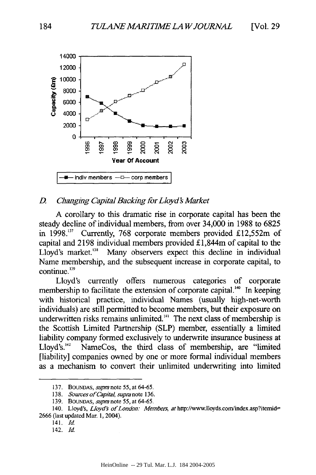

#### *D. Changing Capital Backing for Lloyds Market*

**A** corollary to this dramatic rise in corporate capital has been the steady decline of individual members, from over 34,000 **in 1988** to 6825 in **1998.7'** Currently, **768** corporate members provided £12,552m of capital and **2198** individual members provided **£** 1,844m of capital to the Lloyd's market.<sup>138</sup> Many observers expect this decline in individual Name membership, and the subsequent increase **in** corporate capital, to continue. **<sup>139</sup>**

Lloyd's currently offers numerous categories of corporate membership to facilitate the extension of corporate capital.<sup>140</sup> In keeping with historical practice, individual Names (usually high-net-worth individuals) are still permitted to become members, but their exposure on underwritten risks remains unlimited.<sup>141</sup> The next class of membership is the Scottish Limited Partnership (SLP) member, essentially a limited liability company formed exclusively to underwrite insurance business at Lloyd's.<sup>142</sup> NameCos, the third class of membership, are "limited [liability] companies owned by one or more formal individual members as a mechanism to convert their unlimited underwriting into limited

**<sup>137.</sup>** BOuMDAS, *supra* note 55, at 64-65.

<sup>138.</sup> *Sources of Capital, supra note* 136.

<sup>139.</sup> BOUNDAS, *supra* note 55, at 64-65.

<sup>140.</sup> Lloyd's, *Lloyd's of London: Members, at http://www.lloyds.com/index.asp?itemid=* 2666 (last updated Mar. 1, 2004).

<sup>141.</sup> *Id*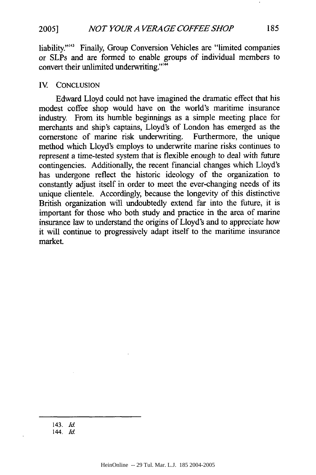**2005]**

liability."<sup>143</sup> Finally, Group Conversion Vehicles are "limited companies" or SLPs and are formed to enable groups of individual members to convert their unlimited underwriting."'

#### IV. CONCLUSION

Edward Lloyd could not have imagined the dramatic effect that his modest coffee shop would have on the world's maritime insurance industry. From its humble beginnings as a simple meeting place for merchants and ship's captains, Lloyd's of London has emerged as the cornerstone of marine risk underwriting. Furthermore, the unique method which Lloyd's employs to underwrite marine risks continues to represent a time-tested system that is flexible enough to deal with future contingencies. Additionally, the recent financial changes which Lloyd's has undergone reflect the historic ideology of the organization to constantly adjust itself in order to meet the ever-changing needs of its unique clientele. Accordingly, because the longevity of this distinctive British organization will undoubtedly extend far into the future, it is important for those who both study and practice in the area of marine insurance law to understand the origins of Lloyd's and to appreciate how it will continue to progressively adapt itself to the maritime insurance market.

<sup>143.</sup> *Id.*